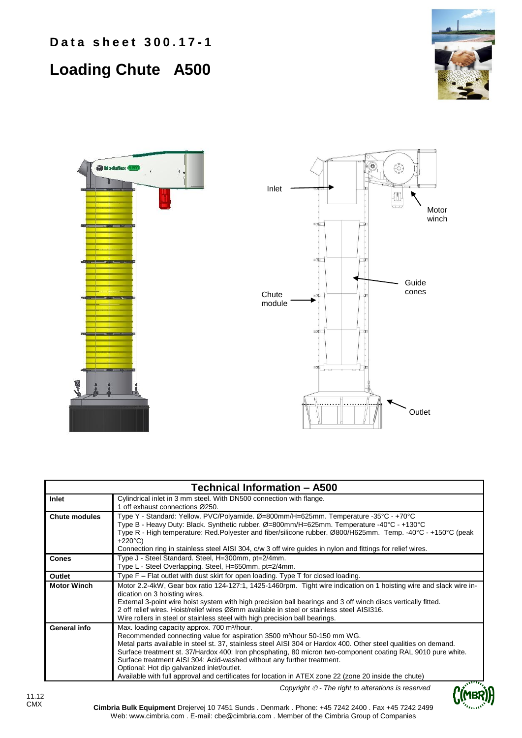**Data sheet 300.17-1** 

## **Loading Chute A500**







| <b>Technical Information - A500</b> |                                                                                                                                                                                                                                                                                                                                                                                                                                                                                                                                                                                                                                                  |  |  |  |
|-------------------------------------|--------------------------------------------------------------------------------------------------------------------------------------------------------------------------------------------------------------------------------------------------------------------------------------------------------------------------------------------------------------------------------------------------------------------------------------------------------------------------------------------------------------------------------------------------------------------------------------------------------------------------------------------------|--|--|--|
| Inlet                               | Cylindrical inlet in 3 mm steel. With DN500 connection with flange.<br>1 off exhaust connections Ø250.                                                                                                                                                                                                                                                                                                                                                                                                                                                                                                                                           |  |  |  |
| <b>Chute modules</b>                | Type Y - Standard: Yellow. PVC/Polyamide. Ø=800mm/H=625mm. Temperature -35°C - +70°C<br>Type B - Heavy Duty: Black. Synthetic rubber. Ø=800mm/H=625mm. Temperature -40°C - +130°C<br>Type R - High temperature: Red.Polyester and fiber/silicone rubber. Ø800/H625mm. Temp. -40°C - +150°C (peak<br>$+220^{\circ}C$<br>Connection ring in stainless steel AISI 304, c/w 3 off wire guides in nylon and fittings for relief wires.                                                                                                                                                                                                                |  |  |  |
| <b>Cones</b>                        | Type J - Steel Standard. Steel, H=300mm, pt=2/4mm.<br>Type L - Steel Overlapping. Steel, H=650mm, pt=2/4mm.                                                                                                                                                                                                                                                                                                                                                                                                                                                                                                                                      |  |  |  |
| Outlet                              | Type F - Flat outlet with dust skirt for open loading. Type T for closed loading.                                                                                                                                                                                                                                                                                                                                                                                                                                                                                                                                                                |  |  |  |
| <b>Motor Winch</b>                  | Motor 2.2-4kW, Gear box ratio 124-127:1, 1425-1460rpm. Tight wire indication on 1 hoisting wire and slack wire in-<br>dication on 3 hoisting wires.<br>External 3-point wire hoist system with high precision ball bearings and 3 off winch discs vertically fitted.<br>2 off relief wires. Hoist/relief wires Ø8mm available in steel or stainless steel AISI316.<br>Wire rollers in steel or stainless steel with high precision ball bearings.                                                                                                                                                                                                |  |  |  |
| General info                        | Max. loading capacity approx. 700 m <sup>3</sup> /hour.<br>Recommended connecting value for aspiration 3500 m <sup>3</sup> /hour 50-150 mm WG.<br>Metal parts available in steel st. 37, stainless steel AISI 304 or Hardox 400. Other steel qualities on demand.<br>Surface treatment st. 37/Hardox 400: Iron phosphating, 80 micron two-component coating RAL 9010 pure white.<br>Surface treatment AISI 304: Acid-washed without any further treatment.<br>Optional: Hot dip galvanized inlet/outlet.<br>Available with full approval and certificates for location in ATEX zone 22 (zone 20 inside the chute)<br>$\mathcal{S}^{\text{Hilb}}$ |  |  |  |

*Copyright - The right to alterations is reserved*